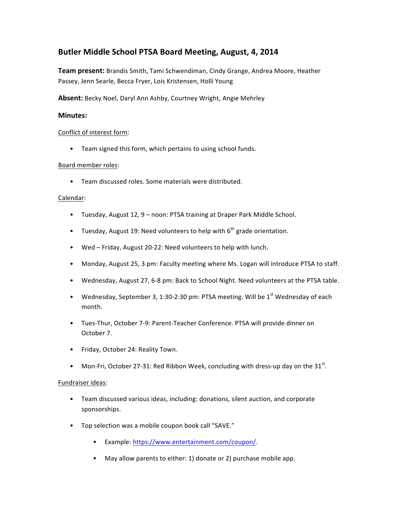# **Butler Middle School PTSA Board Meeting, August, 4, 2014**

Team present: Brandis Smith, Tami Schwendiman, Cindy Grange, Andrea Moore, Heather Passey, Jenn Searle, Becca Fryer, Lois Kristensen, Holli Young

Absent: Becky Noel, Daryl Ann Ashby, Courtney Wright, Angie Mehrley

# **Minutes:**

### Conflict of interest form:

• Team signed this form, which pertains to using school funds.

### Board member roles:

• Team discussed roles. Some materials were distributed.

### Calendar:

- Tuesday, August 12, 9 noon: PTSA training at Draper Park Middle School.
- Tuesday, August 19: Need volunteers to help with  $6<sup>th</sup>$  grade orientation.
- Wed Friday, August 20-22: Need volunteers to help with lunch.
- Monday, August 25, 3 pm: Faculty meeting where Ms. Logan will introduce PTSA to staff.
- Wednesday, August 27, 6-8 pm: Back to School Night. Need volunteers at the PTSA table.
- Wednesday, September 3, 1:30-2:30 pm: PTSA meeting. Will be  $1<sup>st</sup>$  Wednesday of each month.
- Tues-Thur, October 7-9: Parent-Teacher Conference. PTSA will provide dinner on October 7.
- Friday, October 24: Reality Town.
- Mon-Fri, October 27-31: Red Ribbon Week, concluding with dress-up day on the  $31^{st}$ .

### Fundraiser ideas:

- Team discussed various ideas, including: donations, silent auction, and corporate sponsorships.
- Top selection was a mobile coupon book call "SAVE."
	- Example: https://www.entertainment.com/coupon/.
	- May allow parents to either: 1) donate or 2) purchase mobile app.